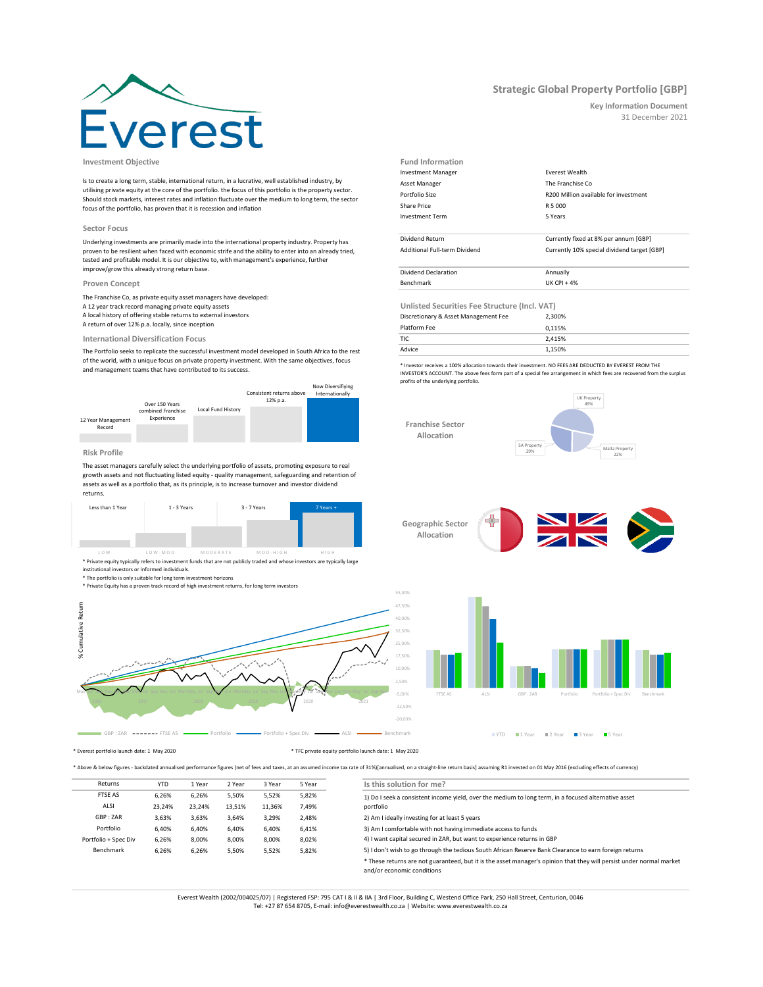# pres<sup>-</sup>

**Investment Objective Fund Information**

Is to create a long term, stable, international return, in a lucrative, well established industry, by utilising private equity at the core of the portfolio. the focus of this portfolio is the property sector. Should stock markets, interest rates and inflation fluctuate over the medium to long term, the sector focus of the portfolio, has proven that it is recession and inflation

### **Sector Focus**

Underlying investments are primarily made into the international property industry. Property has proven to be resilient when faced with economic strife and the ability to enter into an already tried, tested and profitable model. It is our objective to, with management's experience, further improve/grow this already strong return base.

## **Proven Concept**

The Franchise Co, as private equity asset managers have developed: A 12 year track record managing private equity assets A local history of offering stable returns to external investors A return of over 12% p.a. locally, since inception

# **International Diversification Focus**

The Portfolio seeks to replicate the successful investment model developed in South Africa to the rest of the world, with a unique focus on private property investment. With the same objectives, focus and management teams that have contributed to its success.



# **Risk Profile**

The asset managers carefully select the underlying portfolio of assets, promoting exposure to real growth assets and not fluctuating listed equity - quality management, safeguarding and retention of assets as well as a portfolio that, as its principle, is to increase turnover and investor dividend returns.



\* Private equity typically refers to investment funds that are not publicly traded and whose investors are typically large LOW LOW-MOD MODERATE MOD-HIGH HIGH

institutional investors or informed individuals. \* The portfolio is only suitable for long term investment horizons

\* Private Equity has a proven track record of high investment returns, for long term investors



**Unlisted Securities Fee Structure (Incl. VAT)** 0,115% TIC 2,415% Advice 1,150% Benchmark UK CPI + 4% Platform Fee Discretionary & Asset Management Fee Dividend Return Currently fixed at 8% per annum [GBP] Additional Full-term Dividend Currently 10% special dividend target [GBP] Dividend Declaration Annually

5 Years

Investment Manager **Everest Wealth** Asset Manager The Franchise Co

Share Price R 5 000

Investment Term

Portfolio Size R200 Million available for investment

\* Investor receives a 100% allocation towards their investment. NO FEES ARE DEDUCTED BY EVEREST FROM THE INVESTOR'S ACCOUNT. The above fees form part of a special fee arrangement in which fees are recovered from the surplus profits of the underlying portfolio.







 $\blacksquare$ YTD  $\blacksquare$  1 Year  $\blacksquare$  2 Year  $\blacksquare$  3 Year  $\blacksquare$  5 Year

\* Everest portfolio launch date: 1 May 2020 \* TFC private equity portfolio launch date: 1 May 2020

\* Above & below figures - backdated annualised performance figures (net of fees and taxes, at an assumed income tax rate of 31%)[annualised, on a straight-line return basis] assuming R1 invested on 01 May 2016 (excluding e

| Returns              | <b>YTD</b> | 1 Year | 2 Year | 3 Year | 5 Year | Is this solution for me?                                                                                                                           |  |
|----------------------|------------|--------|--------|--------|--------|----------------------------------------------------------------------------------------------------------------------------------------------------|--|
| <b>FTSE AS</b>       | 6,26%      | 6.26%  | 5,50%  | 5,52%  | 5,82%  | 1) Do I seek a consistent income yield, over the medium to long term, in a focused alternative asset                                               |  |
| ALSI                 | 23,24%     | 23.24% | 13.51% | 11.36% | 7,49%  | portfolio                                                                                                                                          |  |
| GBP: ZAR             | 3,63%      | 3.63%  | 3.64%  | 3,29%  | 2,48%  | 2) Am I ideally investing for at least 5 years                                                                                                     |  |
| Portfolio            | 6.40%      | 6.40%  | 6.40%  | 6,40%  | 6,41%  | 3) Am I comfortable with not having immediate access to funds                                                                                      |  |
| Portfolio + Spec Div | 6,26%      | 8,00%  | 8,00%  | 8,00%  | 8,02%  | 4) I want capital secured in ZAR, but want to experience returns in GBP                                                                            |  |
| Benchmark            | 6.26%      | 6.26%  | 5,50%  | 5,52%  | 5,82%  | 5) I don't wish to go through the tedious South African Reserve Bank Clearance to earn foreign returns                                             |  |
|                      |            |        |        |        |        | * These returns are not guaranteed, but it is the asset manager's opinion that they will persist under normal market<br>and/or economic conditions |  |
|                      |            |        |        |        |        |                                                                                                                                                    |  |

Everest Wealth (2002/004025/07) | Registered FSP: 795 CAT I & II & IIA | 3rd Floor, Building C, Westend Office Park, 250 Hall Street, Centurion, 0046 Tel: +27 87 654 8705, E-mail: info@everestwealth.co.za | Website: www.everestwealth.co.za

# **Strategic Global Property Portfolio [GBP]**

**Key Information Document** 31 December 2021